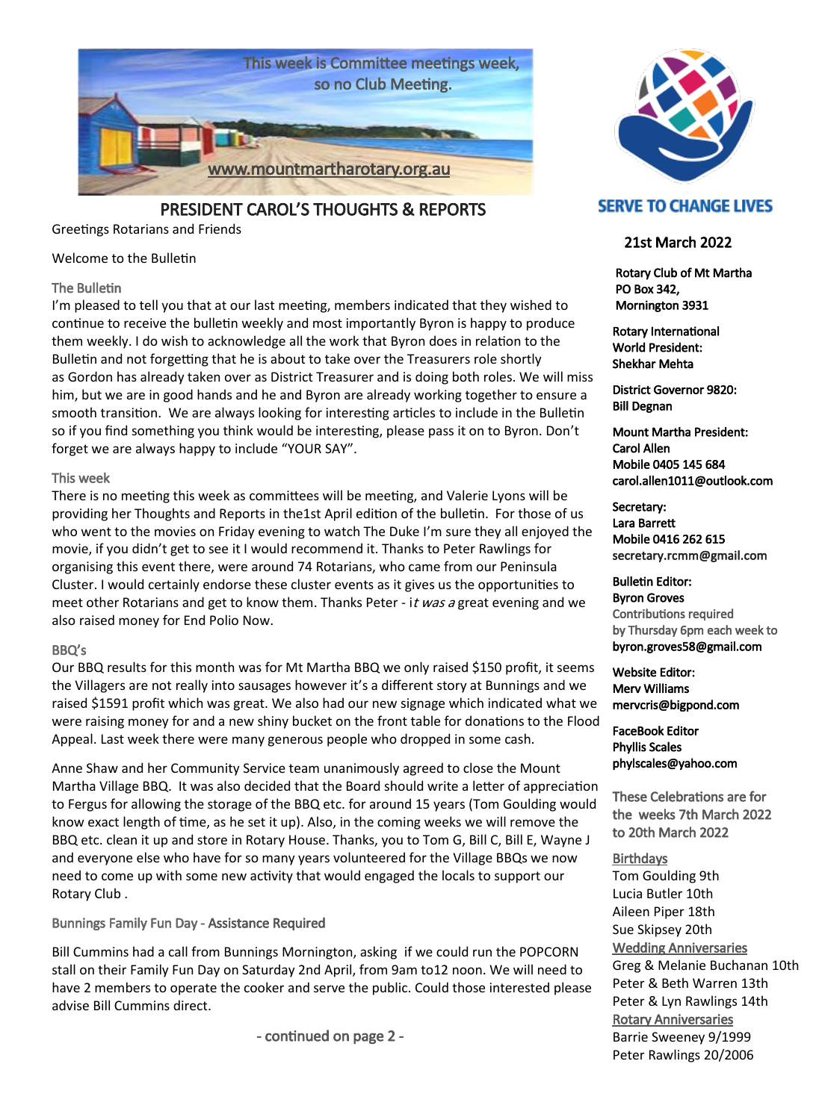

PRESIDENT CAROL'S THOUGHTS & REPORTS

Greetings Rotarians and Friends

#### Welcome to the Bulletin

#### The Bulletin

I'm pleased to tell you that at our last meeting, members indicated that they wished to continue to receive the bulletin weekly and most importantly Byron is happy to produce them weekly. I do wish to acknowledge all the work that Byron does in relation to the Bulletin and not forgetting that he is about to take over the Treasurers role shortly as Gordon has already taken over as District Treasurer and is doing both roles. We will miss him, but we are in good hands and he and Byron are already working together to ensure a smooth transition. We are always looking for interesting articles to include in the Bulletin so if you find something you think would be interesting, please pass it on to Byron. Don't forget we are always happy to include "YOUR SAY".

#### This week

There is no meeting this week as committees will be meeting, and Valerie Lyons will be providing her Thoughts and Reports in the1st April edition of the bulletin. For those of us who went to the movies on Friday evening to watch The Duke I'm sure they all enjoyed the movie, if you didn't get to see it I would recommend it. Thanks to Peter Rawlings for organising this event there, were around 74 Rotarians, who came from our Peninsula Cluster. I would certainly endorse these cluster events as it gives us the opportunities to meet other Rotarians and get to know them. Thanks Peter - it was a great evening and we also raised money for End Polio Now.

#### BBQ's

Our BBQ results for this month was for Mt Martha BBQ we only raised \$150 profit, it seems the Villagers are not really into sausages however it's a different story at Bunnings and we raised \$1591 profit which was great. We also had our new signage which indicated what we were raising money for and a new shiny bucket on the front table for donations to the Flood Appeal. Last week there were many generous people who dropped in some cash.

Anne Shaw and her Community Service team unanimously agreed to close the Mount Martha Village BBQ. It was also decided that the Board should write a letter of appreciation to Fergus for allowing the storage of the BBQ etc. for around 15 years (Tom Goulding would know exact length of time, as he set it up). Also, in the coming weeks we will remove the BBQ etc. clean it up and store in Rotary House. Thanks, you to Tom G, Bill C, Bill E, Wayne J and everyone else who have for so many years volunteered for the Village BBQs we now need to come up with some new activity that would engaged the locals to support our Rotary Club .

Bunnings Family Fun Day - Assistance Required

Bill Cummins had a call from Bunnings Mornington, asking if we could run the POPCORN stall on their Family Fun Day on Saturday 2nd April, from 9am to12 noon. We will need to have 2 members to operate the cooker and serve the public. Could those interested please advise Bill Cummins direct.

- continued on page 2 -



## **SERVE TO CHANGE LIVES**

### 21st March 2022

 Rotary Club of Mt Martha PO Box 342, Mornington 3931

Rotary International World President: Shekhar Mehta

District Governor 9820: Bill Degnan

Mount Martha President: Carol Allen Mobile 0405 145 684 carol.allen1011@outlook.com

Secretary: Lara Barrett Mobile 0416 262 615 secretary.rcmm@gmail.com

Bulletin Editor: Byron Groves Contributions required by Thursday 6pm each week to byron.groves58@gmail.com

Website Editor: Merv Williams mervcris@bigpond.com

FaceBook Editor Phyllis Scales phylscales@yahoo.com

These Celebrations are for the weeks 7th March 2022 to 20th March 2022

#### **Birthdays**

Tom Goulding 9th Lucia Butler 10th Aileen Piper 18th Sue Skipsey 20th Wedding Anniversaries Greg & Melanie Buchanan 10th Peter & Beth Warren 13th Peter & Lyn Rawlings 14th Rotary Anniversaries Barrie Sweeney 9/1999 Peter Rawlings 20/2006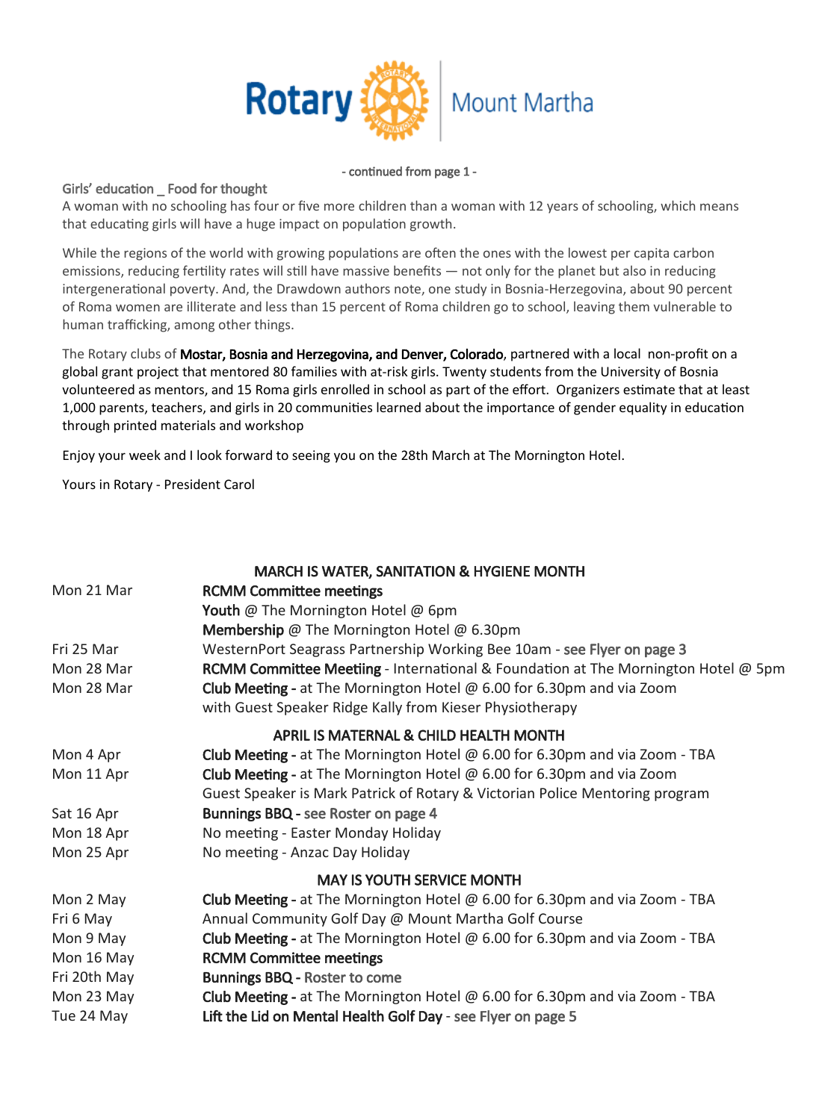

#### - continued from page 1 -

#### Girls' education \_ Food for thought

A woman with no schooling has four or five more children than a woman with 12 years of schooling, which means that educating girls will have a huge impact on population growth.

While the regions of the world with growing populations are often the ones with the lowest per capita carbon emissions, reducing fertility rates will still have massive benefits — not only for the planet but also in reducing intergenerational poverty. And, the Drawdown authors note, one study in Bosnia-Herzegovina, about 90 percent of Roma women are illiterate and less than 15 percent of Roma children go to school, leaving them vulnerable to human trafficking, among other things.

The Rotary clubs of Mostar, Bosnia and Herzegovina, and Denver, Colorado, partnered with a local non-profit on a global grant project that mentored 80 families with at-risk girls. Twenty students from the University of Bosnia volunteered as mentors, and 15 Roma girls enrolled in school as part of the effort. Organizers estimate that at least 1,000 parents, teachers, and girls in 20 communities learned about the importance of gender equality in education through printed materials and workshop

Enjoy your week and I look forward to seeing you on the 28th March at The Mornington Hotel.

Yours in Rotary - President Carol

|              | <b>MARCH IS WATER, SANITATION &amp; HYGIENE MONTH</b>                                                                                    |
|--------------|------------------------------------------------------------------------------------------------------------------------------------------|
| Mon 21 Mar   | <b>RCMM Committee meetings</b>                                                                                                           |
|              | Youth @ The Mornington Hotel @ 6pm                                                                                                       |
|              | Membership @ The Mornington Hotel @ 6.30pm                                                                                               |
| Fri 25 Mar   | WesternPort Seagrass Partnership Working Bee 10am - see Flyer on page 3                                                                  |
| Mon 28 Mar   | <b>RCMM Committee Meetiing - International &amp; Foundation at The Mornington Hotel @ 5pm</b>                                            |
| Mon 28 Mar   | Club Meeting - at The Mornington Hotel $\omega$ 6.00 for 6.30pm and via Zoom<br>with Guest Speaker Ridge Kally from Kieser Physiotherapy |
|              | <b>APRIL IS MATERNAL &amp; CHILD HEALTH MONTH</b>                                                                                        |
| Mon 4 Apr    | Club Meeting - at The Mornington Hotel $\omega$ 6.00 for 6.30pm and via Zoom - TBA                                                       |
| Mon 11 Apr   | Club Meeting - at The Mornington Hotel $\omega$ 6.00 for 6.30pm and via Zoom                                                             |
|              | Guest Speaker is Mark Patrick of Rotary & Victorian Police Mentoring program                                                             |
| Sat 16 Apr   | Bunnings BBQ - see Roster on page 4                                                                                                      |
| Mon 18 Apr   | No meeting - Easter Monday Holiday                                                                                                       |
| Mon 25 Apr   | No meeting - Anzac Day Holiday                                                                                                           |
|              | <b>MAY IS YOUTH SERVICE MONTH</b>                                                                                                        |
| Mon 2 May    | <b>Club Meeting - at The Mornington Hotel @ 6.00 for 6.30pm and via Zoom - TBA</b>                                                       |
| Fri 6 May    | Annual Community Golf Day @ Mount Martha Golf Course                                                                                     |
| Mon 9 May    | Club Meeting - at The Mornington Hotel $\omega$ 6.00 for 6.30pm and via Zoom - TBA                                                       |
| Mon 16 May   | <b>RCMM Committee meetings</b>                                                                                                           |
| Fri 20th May | <b>Bunnings BBQ - Roster to come</b>                                                                                                     |
| Mon 23 May   | Club Meeting - at The Mornington Hotel $\omega$ 6.00 for 6.30pm and via Zoom - TBA                                                       |
| Tue 24 May   | Lift the Lid on Mental Health Golf Day - see Flyer on page 5                                                                             |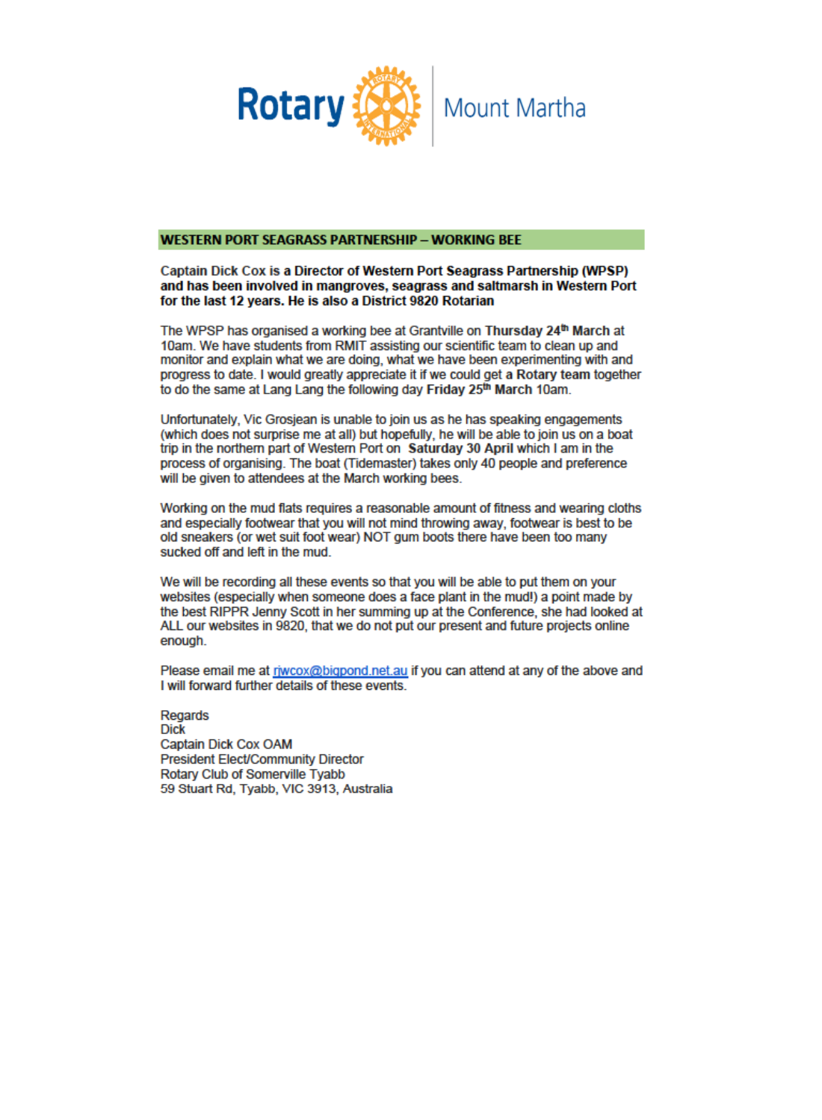

#### **WESTERN PORT SEAGRASS PARTNERSHIP - WORKING BEE**

#### Captain Dick Cox is a Director of Western Port Seagrass Partnership (WPSP) and has been involved in mangroves, seagrass and saltmarsh in Western Port for the last 12 years. He is also a District 9820 Rotarian

The WPSP has organised a working bee at Grantville on Thursday 24th March at 10am. We have students from RMIT assisting our scientific team to clean up and monitor and explain what we are doing, what we have been experimenting with and progress to date. I would greatly appreciate it if we could get a Rotary team together to do the same at Lang Lang the following day Friday 25<sup>th</sup> March 10am.

Unfortunately. Vic Grosiean is unable to join us as he has speaking engagements (which does not surprise me at all) but hopefully, he will be able to join us on a boat trip in the northern part of Western Port on Saturday 30 April which I am in the process of organising. The boat (Tidemaster) takes only 40 people and preference will be given to attendees at the March working bees.

Working on the mud flats requires a reasonable amount of fitness and wearing cloths and especially footwear that you will not mind throwing away, footwear is best to be old sneakers (or wet suit foot wear) NOT gum boots there have been too many sucked off and left in the mud.

We will be recording all these events so that you will be able to put them on your websites (especially when someone does a face plant in the mud!) a point made by the best RIPPR Jenny Scott in her summing up at the Conference, she had looked at ALL our websites in 9820, that we do not put our present and future projects online enough.

Please email me at riwcox@bigpond.net.au if you can attend at any of the above and I will forward further details of these events.

Regards **Dick** Captain Dick Cox OAM **President Elect/Community Director Rotary Club of Somerville Tvabb** 59 Stuart Rd, Tyabb, VIC 3913, Australia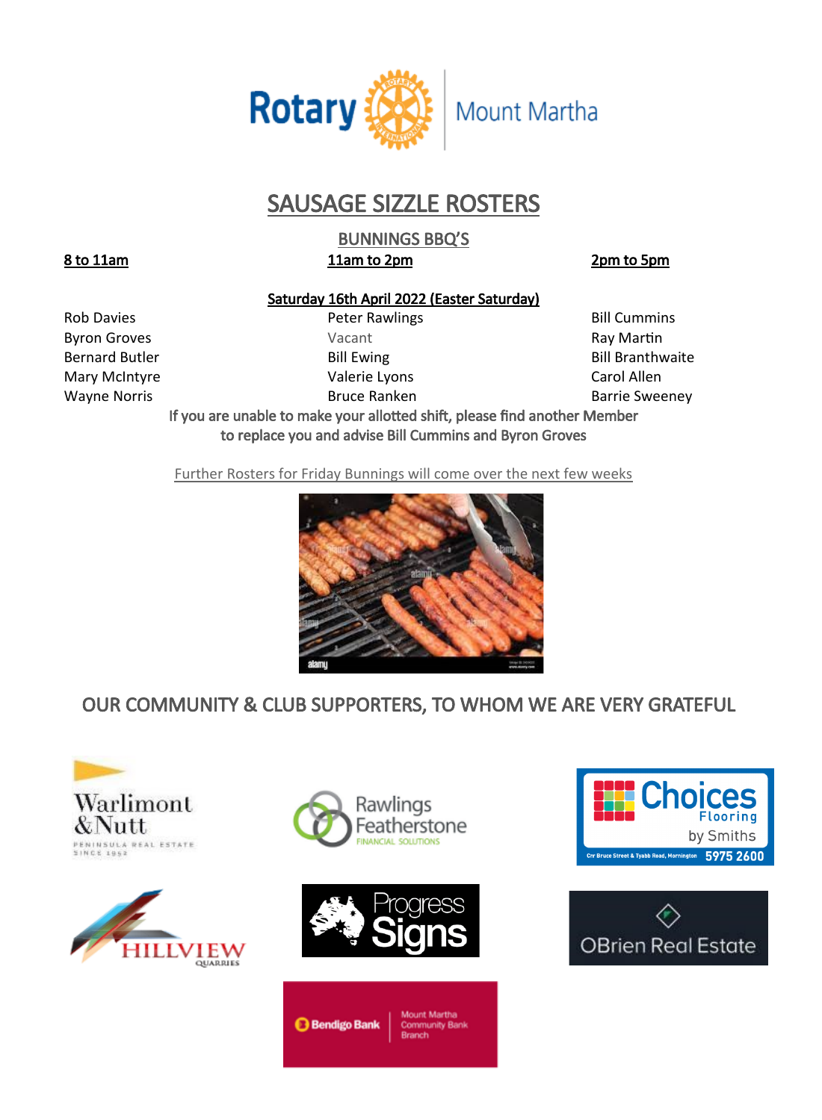

# SAUSAGE SIZZLE ROSTERS

BUNNINGS BBQ'S 8 to 11am 11am to 2pm 2pm b 5pm

## Saturday 16th April 2022 (Easter Saturday)

Rob Davies **Rob Davies Peter Rawlings Bill Cummins** 

Byron Groves **Example 20** Vacant Vacant Ray Martin Mary McIntyre Valerie Lyons Carol Allen

Bernard Butler **Bill Ewing Bill Ewing Communist Bill Branthwaite** Wayne Norris **Bruce Ranken** Bruce Ranken Barrie Sweeney

If you are unable to make your allotted shift, please find another Member to replace you and advise Bill Cummins and Byron Groves

Further Rosters for Friday Bunnings will come over the next few weeks



## OUR COMMUNITY & CLUB SUPPORTERS, TO WHOM WE ARE VERY GRATEFUL









**Bendigo Bank**